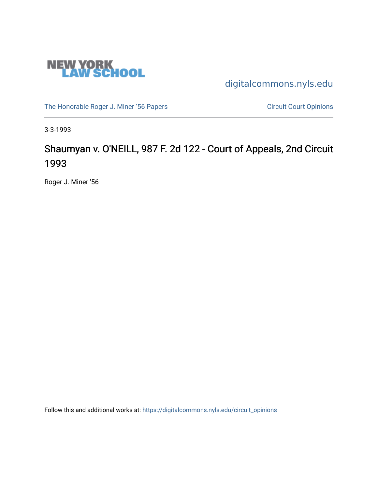

[digitalcommons.nyls.edu](https://digitalcommons.nyls.edu/) 

[The Honorable Roger J. Miner '56 Papers](https://digitalcommons.nyls.edu/miner_papers) Circuit Court Opinions

3-3-1993

# Shaumyan v. O'NEILL, 987 F. 2d 122 - Court of Appeals, 2nd Circuit 1993

Roger J. Miner '56

Follow this and additional works at: [https://digitalcommons.nyls.edu/circuit\\_opinions](https://digitalcommons.nyls.edu/circuit_opinions?utm_source=digitalcommons.nyls.edu%2Fcircuit_opinions%2F374&utm_medium=PDF&utm_campaign=PDFCoverPages)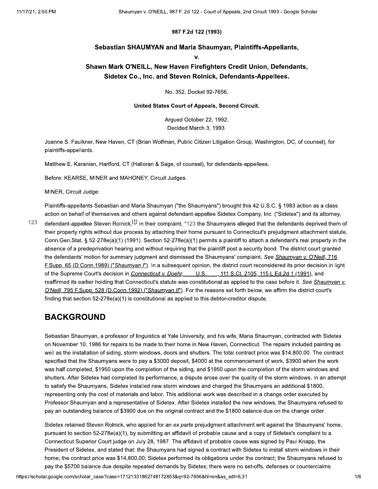#### 987 F.2d 122 (1993)

### Sebastian SHAUMYAN and Maria Shaumyan, Plaintiffs-Appellants,

 $\mathbf{V}$ 

### Shawn Mark O'NEILL, New Haven Firefighters Credit Union, Defendants, Sidetex Co., Inc. and Steven Rolnick, Defendants-Appellees.

No. 352, Docket 92-7656.

#### United States Court of Appeals, Second Circuit.

Arqued October 22, 1992. Decided March 3, 1993.

Joanne S. Faulkner, New Haven, CT (Brian Wolfman, Public Citizen Litigation Group, Washington, DC, of counsel), for plaintiffs-appellants.

Matthew E. Karanian, Hartford, CT (Halloran & Sage, of counsel), for defendants-appellees.

Before: KEARSE, MINER and MAHONEY, Circuit Judges.

MINER, Circuit Judge:

Plaintiffs-appellants Sebastian and Maria Shaumyan ("the Shaumyans") brought this 42 U.S.C. § 1983 action as a class action on behalf of themselves and others against defendant-appellee Sidetex Company, Inc. ("Sidetex") and its attorney,

123 defendant-appellee Steven Rolnick.<sup>[1]</sup> In their complaint, \*123 the Shaumyans alleged that the defendants deprived them of their property rights without due process by attaching their home pursuant to Connecticut's prejudgment attachment statute, Conn.Gen.Stat. § 52-278e(a)(1) (1991). Section 52-278e(a)(1) permits a plaintiff to attach a defendant's real property in the absence of a predeprivation hearing and without requiring that the plaintiff post a security bond. The district court granted the defendants' motion for summary judgment and dismissed the Shaumyans' complaint. See Shaumyan v. O'Neill, 716 F.Supp. 65 (D.Conn.1989) ("Shaumyan I"). In a subsequent opinion, the district court reconsidered its prior decision in light of the Supreme Court's decision in Connecticut v. Doehr, U.S., 111 S.Ct. 2105, 115 L.Ed.2d 1 (1991), and reaffirmed its earlier holding that Connecticut's statute was constitutional as applied to the case before it. See Shaumyan v. O'Neill, 795 F.Supp. 528 (D.Conn.1992) ("Shaumyan II"). For the reasons set forth below, we affirm the district court's finding that section  $52-278e(a)(1)$  is constitutional as applied to this debtor-creditor dispute.

### **BACKGROUND**

Sebastian Shaumyan, a professor of linguistics at Yale University, and his wife, Maria Shaumyan, contracted with Sidetex on November 10, 1986 for repairs to be made to their home in New Haven, Connecticut. The repairs included painting as well as the installation of siding, storm windows, doors and shutters. The total contract price was \$14,800.00. The contract specified that the Shaumyans were to pay a \$3000 deposit, \$4000 at the commencement of work, \$3900 when the work was half completed, \$1950 upon the completion of the siding, and \$1950 upon the completion of the storm windows and shutters. After Sidetex had completed its performance, a dispute arose over the quality of the storm windows. In an attempt to satisfy the Shaumyans, Sidetex installed new storm windows and charged the Shaumyans an additional \$1800, representing only the cost of materials and labor. This additional work was described in a change order executed by Professor Shaumyan and a representative of Sidetex. After Sidetex installed the new windows, the Shaumyans refused to pay an outstanding balance of \$3900 due on the original contract and the \$1800 balance due on the change order.

Sidetex retained Steven Rolnick, who applied for an ex parte prejudgment attachment writ against the Shaumyans' home, pursuant to section 52-278e(a)(1), by submitting an affidavit of probable cause and a copy of Sidetex's complaint to a Connecticut Superior Court judge on July 28, 1987. The affidavit of probable cause was signed by Paul Knapp, the President of Sidetex, and stated that: the Shaumyans had signed a contract with Sidetex to install storm windows in their home; the contract price was \$14,800.00; Sidetex performed its obligations under the contract; the Shaumyans refused to pay the \$5700 balance due despite repeated demands by Sidetex; there were no set-offs, defenses or counterclaims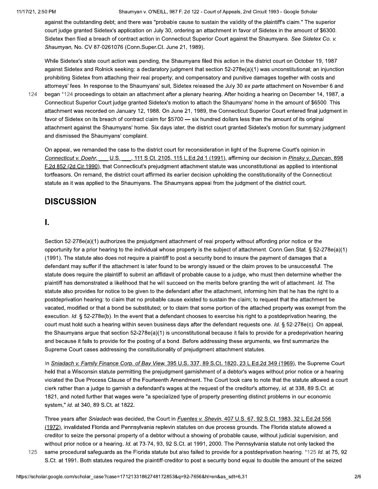against the outstanding debt; and there was "probable cause to sustain the validity of the plaintiff's claim." The superior court judge granted Sidetex's application on July 30, ordering an attachment in favor of Sidetex in the amount of \$6300. Sidetex then filed a breach of contract action in Connecticut Superior Court against the Shaumyans. See Sidetex Co. v. Shaumyan, No. CV 87-0261076 (Conn.Super.Ct. June 21, 1989).

While Sidetex's state court action was pending, the Shaumyans filed this action in the district court on October 19, 1987 against Sidetex and Rolnick seeking: a declaratory judgment that section 52-278e(a)(1) was unconstitutional; an injunction prohibiting Sidetex from attaching their real property; and compensatory and punitive damages together with costs and attorneys' fees. In response to the Shaumyans' suit, Sidetex released the July 30 ex parte attachment on November 6 and

124 began \*124 proceedings to obtain an attachment after a plenary hearing. After holding a hearing on December 14, 1987, a Connecticut Superior Court judge granted Sidetex's motion to attach the Shaumyans' home in the amount of \$6500. This attachment was recorded on January 12, 1988. On June 21, 1989, the Connecticut Superior Court entered final judgment in favor of Sidetex on its breach of contract claim for \$5700 - six hundred dollars less than the amount of its original attachment against the Shaumyans' home. Six days later, the district court granted Sidetex's motion for summary judgment and dismissed the Shaumyans' complaint.

On appeal, we remanded the case to the district court for reconsideration in light of the Supreme Court's opinion in Connecticut v. Doehr. U.S., 111 S.Ct. 2105, 115 L.Ed.2d 1 (1991), affirming our decision in Pinsky v. Duncan, 898 F.2d 852 (2d Cir.1990), that Connecticut's prejudgment attachment statute was unconstitutional as applied to intentional tortfeasors. On remand, the district court affirmed its earlier decision upholding the constitutionality of the Connecticut statute as it was applied to the Shaumyans. The Shaumyans appeal from the judgment of the district court.

## **DISCUSSION**

### I.

Section 52-278e(a)(1) authorizes the prejudgment attachment of real property without affording prior notice or the opportunity for a prior hearing to the individual whose property is the subject of attachment. Conn. Gen. Stat. § 52-278e(a)(1) (1991). The statute also does not require a plaintiff to post a security bond to insure the payment of damages that a defendant may suffer if the attachment is later found to be wrongly issued or the claim proves to be unsuccessful. The statute does require the plaintiff to submit an affidavit of probable cause to a judge, who must then determine whether the plaintiff has demonstrated a likelihood that he will succeed on the merits before granting the writ of attachment. Id. The statute also provides for notice to be given to the defendant after the attachment, informing him that he has the right to a postdeprivation hearing: to claim that no probable cause existed to sustain the claim; to request that the attachment be vacated, modified or that a bond be substituted; or to claim that some portion of the attached property was exempt from the execution. Id. § 52-278e(b). In the event that a defendant chooses to exercise his right to a postdeprivation hearing, the court must hold such a hearing within seven business days after the defendant requests one. Id. § 52-278e(c). On appeal, the Shaumyans argue that section 52-278e(a)(1) is unconstitutional because it fails to provide for a predeprivation hearing and because it fails to provide for the posting of a bond. Before addressing these arguments, we first summarize the Supreme Court cases addressing the constitutionality of prejudgment attachment statutes.

In Sniadach v. Family Finance Corp. of Bay View, 395 U.S. 337, 89 S.Ct. 1820, 23 L.Ed.2d 349 (1969), the Supreme Court held that a Wisconsin statute permitting the prejudgment garnishment of a debtor's wages without prior notice or a hearing violated the Due Process Clause of the Fourteenth Amendment. The Court took care to note that the statute allowed a court clerk rather than a judge to garnish a defendant's wages at the request of the creditor's attorney, id. at 338, 89 S.Ct. at 1821, and noted further that wages were "a specialized type of property presenting distinct problems in our economic system," id. at 340, 89 S.Ct. at 1822.

Three years after Sniadach was decided, the Court in Fuentes v. Shevin, 407 U.S. 67, 92 S.Ct. 1983, 32 L.Ed.2d 556 (1972), invalidated Florida and Pennsylvania replevin statutes on due process grounds. The Florida statute allowed a creditor to seize the personal property of a debtor without a showing of probable cause, without judicial supervision, and without prior notice or a hearing. Id. at 73-74, 93, 92 S.Ct. at 1991, 2000. The Pennsylvania statute not only lacked the same procedural safeguards as the Florida statute but also failed to provide for a postdeprivation hearing. \*125 ld. at 75, 92

125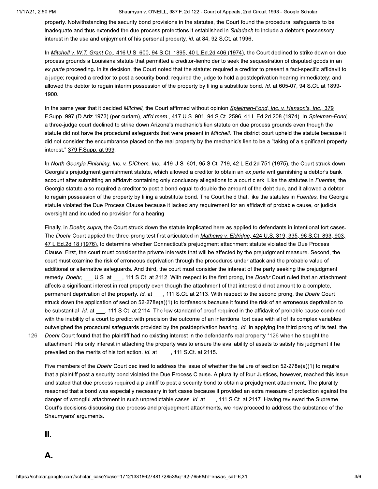property. Notwithstanding the security bond provisions in the statutes, the Court found the procedural safeguards to be inadequate and thus extended the due process protections it established in Sniadach to include a debtor's possessory interest in the use and enjoyment of his personal property, id. at 84, 92 S.Ct. at 1996.

In Mitchell v. W.T. Grant Co., 416 U.S. 600, 94 S.Ct. 1895, 40 L.Ed.2d 406 (1974), the Court declined to strike down on due process grounds a Louisiana statute that permitted a creditor-lienholder to seek the sequestration of disputed goods in an ex parte proceeding. In its decision, the Court noted that the statute: required a creditor to present a fact-specific affidavit to a judge; required a creditor to post a security bond; required the judge to hold a postdeprivation hearing immediately; and allowed the debtor to regain interim possession of the property by filing a substitute bond. Id. at 605-07, 94 S.Ct. at 1899-1900.

In the same year that it decided Mitchell, the Court affirmed without opinion Spielman-Fond, Inc. v. Hanson's, Inc., 379 F.Supp. 997 (D.Ariz.1973) (per curiam), aff'd mem., 417 U.S. 901, 94 S.Ct. 2596, 41 L.Ed.2d 208 (1974). In Spielman-Fond, a three-judge court declined to strike down Arizona's mechanic's lien statute on due process grounds even though the statute did not have the procedural safeguards that were present in Mitchell. The district court upheld the statute because it did not consider the encumbrance placed on the real property by the mechanic's lien to be a "taking of a significant property interest." 379 F.Supp. at 999.

In North Georgia Finishing, Inc. v. DiChem, Inc., 419 U.S. 601, 95 S.Ct. 719, 42 L.Ed.2d 751 (1975), the Court struck down Georgia's prejudgment garnishment statute, which allowed a creditor to obtain an ex parte writ garnishing a debtor's bank account after submitting an affidavit containing only conclusory allegations to a court clerk. Like the statutes in Fuentes, the Georgia statute also required a creditor to post a bond equal to double the amount of the debt due, and it allowed a debtor to regain possession of the property by filing a substitute bond. The Court held that, like the statutes in Fuentes, the Georgia statute violated the Due Process Clause because it lacked any requirement for an affidavit of probable cause, or judicial oversight and included no provision for a hearing.

Finally, in Doehr, supra, the Court struck down the statute implicated here as applied to defendants in intentional tort cases. The Doehr Court applied the three-prong test first articulated in Mathews v. Eldridge, 424 U.S. 319, 335, 96 S.Ct. 893, 903, 47 L.Ed.2d 18 (1976), to determine whether Connecticut's prejudgment attachment statute violated the Due Process Clause. First, the court must consider the private interests that will be affected by the prejudgment measure. Second, the court must examine the risk of erroneous deprivation through the procedures under attack and the probable value of additional or alternative safeguards. And third, the court must consider the interest of the party seeking the prejudgment remedy. Doehr, U.S. at 111 S.Ct. at 2112. With respect to the first prong, the Doehr Court ruled that an attachment affects a significant interest in real property even though the attachment of that interest did not amount to a complete, permanent deprivation of the property. Id. at \_\_\_, 111 S.Ct. at 2113. With respect to the second prong, the Doehr Court struck down the application of section 52-278e(a)(1) to tortfeasors because it found the risk of an erroneous deprivation to be substantial. Id. at , 111 S.Ct. at 2114. The low standard of proof required in the affidavit of probable cause combined with the inability of a court to predict with precision the outcome of an intentional tort case with all of its complex variables outweighed the procedural safeguards provided by the postdeprivation hearing. Id. In applying the third prong of its test, the Doehr Court found that the plaintiff had no existing interest in the defendant's real property \*126 when he sought the attachment. His only interest in attaching the property was to ensure the availability of assets to satisfy his judgment if he prevailed on the merits of his tort action. Id. at \_\_\_\_, 111 S.Ct. at 2115.

Five members of the Doehr Court declined to address the issue of whether the failure of section 52-278e(a)(1) to require that a plaintiff post a security bond violated the Due Process Clause. A plurality of four Justices, however, reached this issue and stated that due process required a plaintiff to post a security bond to obtain a prejudgment attachment. The plurality reasoned that a bond was especially necessary in tort cases because it provided an extra measure of protection against the danger of wrongful attachment in such unpredictable cases. Id. at \_\_\_, 111 S.Ct. at 2117. Having reviewed the Supreme Court's decisions discussing due process and prejudgment attachments, we now proceed to address the substance of the Shaumyans' arguments.

Ш.

126

А.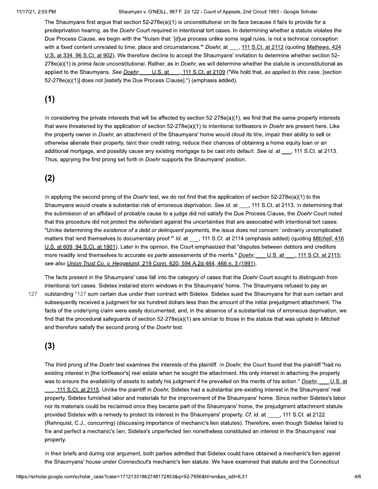The Shaumyans first argue that section  $52-278e(a)(1)$  is unconstitutional on its face because it fails to provide for a predeprivation hearing, as the Doehr Court required in intentional tort cases. In determining whether a statute violates the Due Process Clause, we begin with the "truism that `[d]ue process unlike some legal rules, is not a technical conception with a fixed content unrelated to time, place and circumstances."" Doehr, at , 111 S.Ct. at 2112 (quoting Mathews, 424 U.S. at 334, 96 S.Ct. at 902). We therefore decline to accept the Shaumyans' invitation to determine whether section 52-278e(a)(1) is prima facie unconstitutional. Rather, as in Doehr, we will determine whether the statute is unconstitutional as applied to the Shaumyans. See Doehr, U.S. at \_\_, 111 S.Ct. at 2109 ("We hold that, as applied to this case, [section 52-278e(a)(1)] does not [satisfy the Due Process Clause].") (emphasis added).

## $(1)$

In considering the private interests that will be affected by section 52-278e(a)(1), we find that the same property interests that were threatened by the application of section 52-278e(a)(1) to intentional tortfeasors in *Doehr* are present here. Like the property owner in Doehr, an attachment of the Shaumyans' home would cloud its title, impair their ability to sell or otherwise alienate their property, taint their credit rating, reduce their chances of obtaining a home equity loan or an additional mortgage, and possibly cause any existing mortgage to be cast into default. See id. at \_\_\_, 111 S.Ct. at 2113. Thus, applying the first prong set forth in Doehr supports the Shaumyans' position.

### $(2)$

In applying the second prong of the Doehr test, we do not find that the application of section 52-278e(a)(1) to the Shaumyans would create a substantial risk of erroneous deprivation. See id. at \_\_, 111 S.Ct. at 2113. In determining that the submission of an affidavit of probable cause to a judge did not satisfy the Due Process Clause, the Doehr Court noted that this procedure did not protect the defendant against the uncertainties that are associated with intentional tort cases: "Unlike determining the existence of a debt or delinguent payments, the issue does not concern `ordinarily uncomplicated matters that lend themselves to documentary proof." Id. at \_\_, 111 S.Ct. at 2114 (emphasis added) (quoting Mitchell, 416 U.S. at 609, 94 S.Ct. at 1901). Later in the opinion, the Court emphasized that "disputes between debtors and creditors more readily lend themselves to accurate ex parte assessments of the merits." Doehr, U.S. at 111 S.Ct. at 2115; see also Union Trust Co. v. Heggelund, 219 Conn. 620, 594 A.2d 464, 466 n. 3 (1991).

127

The facts present in the Shaumyans' case fall into the category of cases that the Doehr Court sought to distinguish from intentional tort cases. Sidetex installed storm windows in the Shaumyans' home. The Shaumyans refused to pay an outstanding \*127 sum certain due under their contract with Sidetex. Sidetex sued the Shaumyans for that sum certain and subsequently received a judgment for six hundred dollars less than the amount of the initial prejudgment attachment. The facts of the underlying claim were easily documented, and, in the absence of a substantial risk of erroneous deprivation, we find that the procedural safeguards of section 52-278e(a)(1) are similar to those in the statute that was upheld in Mitchell and therefore satisfy the second prong of the Doehr test.

## $(3)$

The third prong of the Doehr test examines the interests of the plaintiff. In Doehr, the Court found that the plaintiff "had no existing interest in [the tortfeasor's] real estate when he sought the attachment. His only interest in attaching the property was to ensure the availability of assets to satisfy his judgment if he prevailed on the merits of his action." Doehr, U.S. at 111 S.Ct. at 2115. Unlike the plaintiff in Doehr, Sidetex had a substantial pre-existing interest in the Shaumyans' real property. Sidetex furnished labor and materials for the improvement of the Shaumyans' home. Since neither Sidetex's labor nor its materials could be reclaimed once they became part of the Shaumyans' home, the prejudgment attachment statute provided Sidetex with a remedy to protect its interest in the Shaumyans' property. Cf. id. at \_\_\_, 111 S.Ct. at 2122 (Rehnquist, C.J., concurring) (discussing importance of mechanic's lien statutes). Therefore, even though Sidetex failed to file and perfect a mechanic's lien, Sidetex's unperfected lien nonetheless constituted an interest in the Shaumyans' real property.

In their briefs and during oral argument, both parties admitted that Sidetex could have obtained a mechanic's lien against the Shaumyans' house under Connecticut's mechanic's lien statute. We have examined that statute and the Connecticut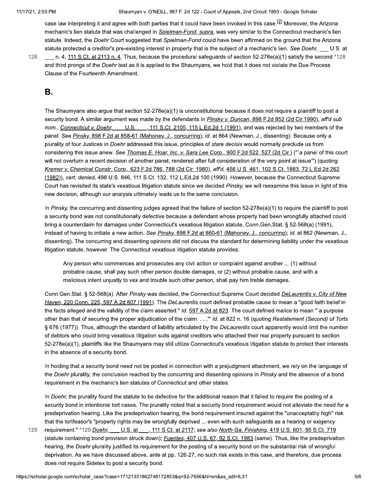case law interpreting it and agree with both parties that it could have been invoked in this case.<sup>[2]</sup> Moreover, the Arizona mechanic's lien statute that was challenged in Spielman-Fond, supra, was very similar to the Connecticut mechanic's lien statute. Indeed, the Doehr Court suggested that Spielman-Fond could have been affirmed on the ground that the Arizona statute protected a creditor's pre-existing interest in property that is the subject of a mechanic's lien. See Doehr, U.S. at

128

n. 4, 111 S.Ct. at 2113 n. 4. Thus, because the procedural safeguards of section 52-278e(a)(1) satisfy the second \*128 and third prongs of the Doehr test as it is applied to the Shaumyans, we hold that it does not violate the Due Process Clause of the Fourteenth Amendment.

## В.

The Shaumyans also argue that section 52-278e(a)(1) is unconstitutional because it does not require a plaintiff to post a security bond. A similar argument was made by the defendants in Pinsky v. Duncan, 898 F.2d 852 (2d Cir.1990), aff'd sub nom., Connecticut v. Doehr, U.S., 111 S.Ct. 2105, 115 L.Ed.2d 1 (1991), and was rejected by two members of the panel. See Pinsky, 898 F.2d at 858-61 (Mahoney, J., concurring); id. at 864 (Newman, J., dissenting). Because only a plurality of four Justices in Doehr addressed this issue, principles of stare decisis would normally preclude us from considering this issue anew. See Thomas E. Hoar, Inc. v. Sara Lee Corp., 900 F.2d 522, 527 (2d Cir.) ("'a panel of this court will not overturn a recent decision of another panel, rendered after full consideration of the very point at issue") (quoting Kremer v. Chemical Constr. Corp., 623 F.2d 786, 788 (2d Cir. 1980), aff'd, 456 U.S. 461, 102 S.Ct. 1883, 72 L.Ed.2d 262 (1982)), cert. denied, 498 U.S. 846, 111 S.Ct. 132, 112 L.Ed.2d 100 (1990). However, because the Connecticut Supreme Court has revisited its state's vexatious litigation statute since we decided Pinsky, we will reexamine this issue in light of this new decision, although our analysis ultimately leads us to the same conclusion.

In Pinsky, the concurring and dissenting judges agreed that the failure of section  $52-278e(a)(1)$  to require the plaintiff to post a security bond was not constitutionally defective because a defendant whose property had been wrongfully attached could bring a counterclaim for damages under Connecticut's vexatious litigation statute, Conn.Gen.Stat. § 52-568(a) (1991), instead of having to initiate a new action. See Pinsky, 898 F.2d at 860-61 (Mahoney, J., concurring); id. at 862 (Newman, J., dissenting). The concurring and dissenting opinions did not discuss the standard for determining liability under the vexatious litigation statute, however. The Connecticut vexatious litigation statute provides:

Any person who commences and prosecutes any civil action or complaint against another ... (1) without probable cause, shall pay such other person double damages, or (2) without probable cause, and with a malicious intent unjustly to vex and trouble such other person, shall pay him treble damages.

Conn.Gen.Stat. § 52-568(a). After Pinsky was decided, the Connecticut Supreme Court decided DeLaurentis v. City of New Haven, 220 Conn. 225, 597 A.2d 807 (1991). The DeLaurentis court defined probable cause to mean a "good faith belief in the facts alleged and the validity of the claim asserted." Id. 597 A.2d at 823. The court defined malice to mean "`a purpose other than that of securing the proper adjudication of the claim. . . . "Id. at 822 n. 16 (quoting Restatement (Second) of Torts § 676 (1977)). Thus, although the standard of liability articulated by the DeLaurentis court apparently would limit the number of debtors who could bring vexatious litigation suits against creditors who attached their real property pursuant to section 52-278e(a)(1), plaintiffs like the Shaumyans may still utilize Connecticut's vexatious litigation statute to protect their interests in the absence of a security bond.

In holding that a security bond need not be posted in connection with a prejudgment attachment, we rely on the language of the Doehr plurality, the conclusion reached by the concurring and dissenting opinions in Pinsky and the absence of a bond requirement in the mechanic's lien statutes of Connecticut and other states.

In Doehr, the plurality found the statute to be defective for the additional reason that it failed to require the posting of a security bond in intentional tort cases. The plurality noted that a security bond requirement would not alleviate the need for a predeprivation hearing. Like the predeprivation hearing, the bond requirement insured against the "unacceptably high" risk that the tortfeasor's "property rights may be wrongfully deprived ... even with such safeguards as a hearing or exigency

requirement." \*129 Doehr, U.S. at , 111 S.Ct. at 2117; see also North Ga. Finishing, 419 U.S. 601, 95 S.Ct. 719 129 (statute containing bond provision struck down); *Fuentes*, 407 U.S. 67, 92 S.Ct. 1983 (same). Thus, like the predeprivation hearing, the Doehr plurality justified its requirement for the posting of a security bond on the substantial risk of wrongful deprivation. As we have discussed above, ante at pp. 126-27, no such risk exists in this case, and therefore, due process does not require Sidetex to post a security bond.